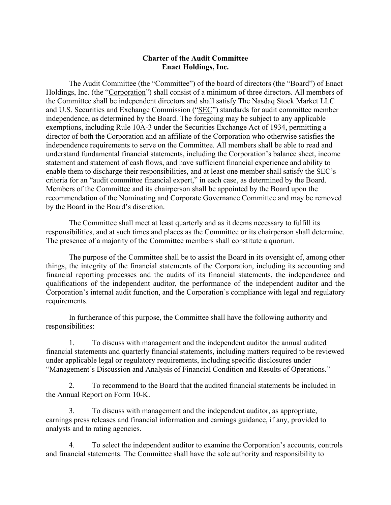## **Charter of the Audit Committee Enact Holdings, Inc.**

The Audit Committee (the "Committee") of the board of directors (the "Board") of Enact Holdings, Inc. (the "Corporation") shall consist of a minimum of three directors. All members of the Committee shall be independent directors and shall satisfy The Nasdaq Stock Market LLC and U.S. Securities and Exchange Commission ("SEC") standards for audit committee member independence, as determined by the Board. The foregoing may be subject to any applicable exemptions, including Rule 10A-3 under the Securities Exchange Act of 1934, permitting a director of both the Corporation and an affiliate of the Corporation who otherwise satisfies the independence requirements to serve on the Committee. All members shall be able to read and understand fundamental financial statements, including the Corporation's balance sheet, income statement and statement of cash flows, and have sufficient financial experience and ability to enable them to discharge their responsibilities, and at least one member shall satisfy the SEC's criteria for an "audit committee financial expert," in each case, as determined by the Board. Members of the Committee and its chairperson shall be appointed by the Board upon the recommendation of the Nominating and Corporate Governance Committee and may be removed by the Board in the Board's discretion.

The Committee shall meet at least quarterly and as it deems necessary to fulfill its responsibilities, and at such times and places as the Committee or its chairperson shall determine. The presence of a majority of the Committee members shall constitute a quorum.

The purpose of the Committee shall be to assist the Board in its oversight of, among other things, the integrity of the financial statements of the Corporation, including its accounting and financial reporting processes and the audits of its financial statements, the independence and qualifications of the independent auditor, the performance of the independent auditor and the Corporation's internal audit function, and the Corporation's compliance with legal and regulatory requirements.

In furtherance of this purpose, the Committee shall have the following authority and responsibilities:

1. To discuss with management and the independent auditor the annual audited financial statements and quarterly financial statements, including matters required to be reviewed under applicable legal or regulatory requirements, including specific disclosures under "Management's Discussion and Analysis of Financial Condition and Results of Operations."

2. To recommend to the Board that the audited financial statements be included in the Annual Report on Form 10-K.

3. To discuss with management and the independent auditor, as appropriate, earnings press releases and financial information and earnings guidance, if any, provided to analysts and to rating agencies.

4. To select the independent auditor to examine the Corporation's accounts, controls and financial statements. The Committee shall have the sole authority and responsibility to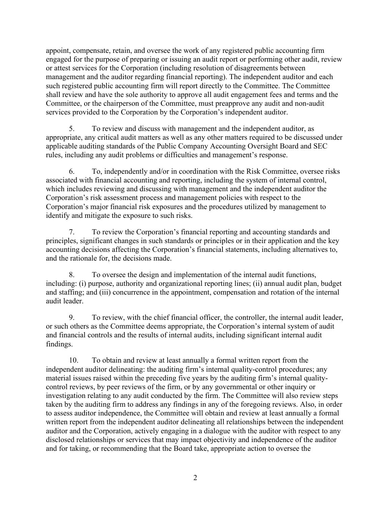appoint, compensate, retain, and oversee the work of any registered public accounting firm engaged for the purpose of preparing or issuing an audit report or performing other audit, review or attest services for the Corporation (including resolution of disagreements between management and the auditor regarding financial reporting). The independent auditor and each such registered public accounting firm will report directly to the Committee. The Committee shall review and have the sole authority to approve all audit engagement fees and terms and the Committee, or the chairperson of the Committee, must preapprove any audit and non-audit services provided to the Corporation by the Corporation's independent auditor.

5. To review and discuss with management and the independent auditor, as appropriate, any critical audit matters as well as any other matters required to be discussed under applicable auditing standards of the Public Company Accounting Oversight Board and SEC rules, including any audit problems or difficulties and management's response.

6. To, independently and/or in coordination with the Risk Committee, oversee risks associated with financial accounting and reporting, including the system of internal control, which includes reviewing and discussing with management and the independent auditor the Corporation's risk assessment process and management policies with respect to the Corporation's major financial risk exposures and the procedures utilized by management to identify and mitigate the exposure to such risks.

7. To review the Corporation's financial reporting and accounting standards and principles, significant changes in such standards or principles or in their application and the key accounting decisions affecting the Corporation's financial statements, including alternatives to, and the rationale for, the decisions made.

8. To oversee the design and implementation of the internal audit functions, including: (i) purpose, authority and organizational reporting lines; (ii) annual audit plan, budget and staffing; and (iii) concurrence in the appointment, compensation and rotation of the internal audit leader.

9. To review, with the chief financial officer, the controller, the internal audit leader, or such others as the Committee deems appropriate, the Corporation's internal system of audit and financial controls and the results of internal audits, including significant internal audit findings.

10. To obtain and review at least annually a formal written report from the independent auditor delineating: the auditing firm's internal quality-control procedures; any material issues raised within the preceding five years by the auditing firm's internal qualitycontrol reviews, by peer reviews of the firm, or by any governmental or other inquiry or investigation relating to any audit conducted by the firm. The Committee will also review steps taken by the auditing firm to address any findings in any of the foregoing reviews. Also, in order to assess auditor independence, the Committee will obtain and review at least annually a formal written report from the independent auditor delineating all relationships between the independent auditor and the Corporation, actively engaging in a dialogue with the auditor with respect to any disclosed relationships or services that may impact objectivity and independence of the auditor and for taking, or recommending that the Board take, appropriate action to oversee the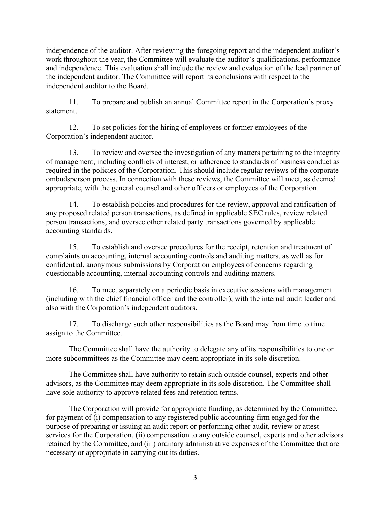independence of the auditor. After reviewing the foregoing report and the independent auditor's work throughout the year, the Committee will evaluate the auditor's qualifications, performance and independence. This evaluation shall include the review and evaluation of the lead partner of the independent auditor. The Committee will report its conclusions with respect to the independent auditor to the Board.

11. To prepare and publish an annual Committee report in the Corporation's proxy statement.

12. To set policies for the hiring of employees or former employees of the Corporation's independent auditor.

13. To review and oversee the investigation of any matters pertaining to the integrity of management, including conflicts of interest, or adherence to standards of business conduct as required in the policies of the Corporation. This should include regular reviews of the corporate ombudsperson process. In connection with these reviews, the Committee will meet, as deemed appropriate, with the general counsel and other officers or employees of the Corporation.

14. To establish policies and procedures for the review, approval and ratification of any proposed related person transactions, as defined in applicable SEC rules, review related person transactions, and oversee other related party transactions governed by applicable accounting standards.

15. To establish and oversee procedures for the receipt, retention and treatment of complaints on accounting, internal accounting controls and auditing matters, as well as for confidential, anonymous submissions by Corporation employees of concerns regarding questionable accounting, internal accounting controls and auditing matters.

16. To meet separately on a periodic basis in executive sessions with management (including with the chief financial officer and the controller), with the internal audit leader and also with the Corporation's independent auditors.

17. To discharge such other responsibilities as the Board may from time to time assign to the Committee.

The Committee shall have the authority to delegate any of its responsibilities to one or more subcommittees as the Committee may deem appropriate in its sole discretion.

The Committee shall have authority to retain such outside counsel, experts and other advisors, as the Committee may deem appropriate in its sole discretion. The Committee shall have sole authority to approve related fees and retention terms.

The Corporation will provide for appropriate funding, as determined by the Committee, for payment of (i) compensation to any registered public accounting firm engaged for the purpose of preparing or issuing an audit report or performing other audit, review or attest services for the Corporation, (ii) compensation to any outside counsel, experts and other advisors retained by the Committee, and (iii) ordinary administrative expenses of the Committee that are necessary or appropriate in carrying out its duties.